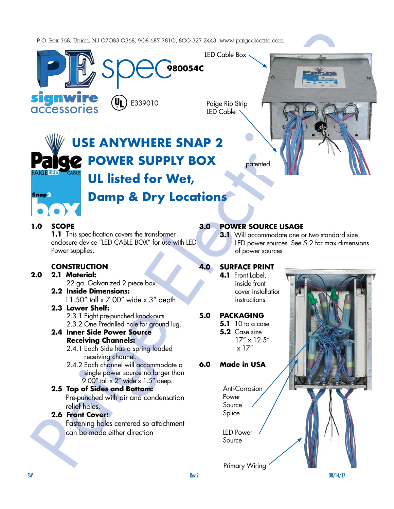P.O. Box 368, Union, NJ O7O83-O368, 9O8-687-781O, 8OO-327-2443, www.paigeelectric.com